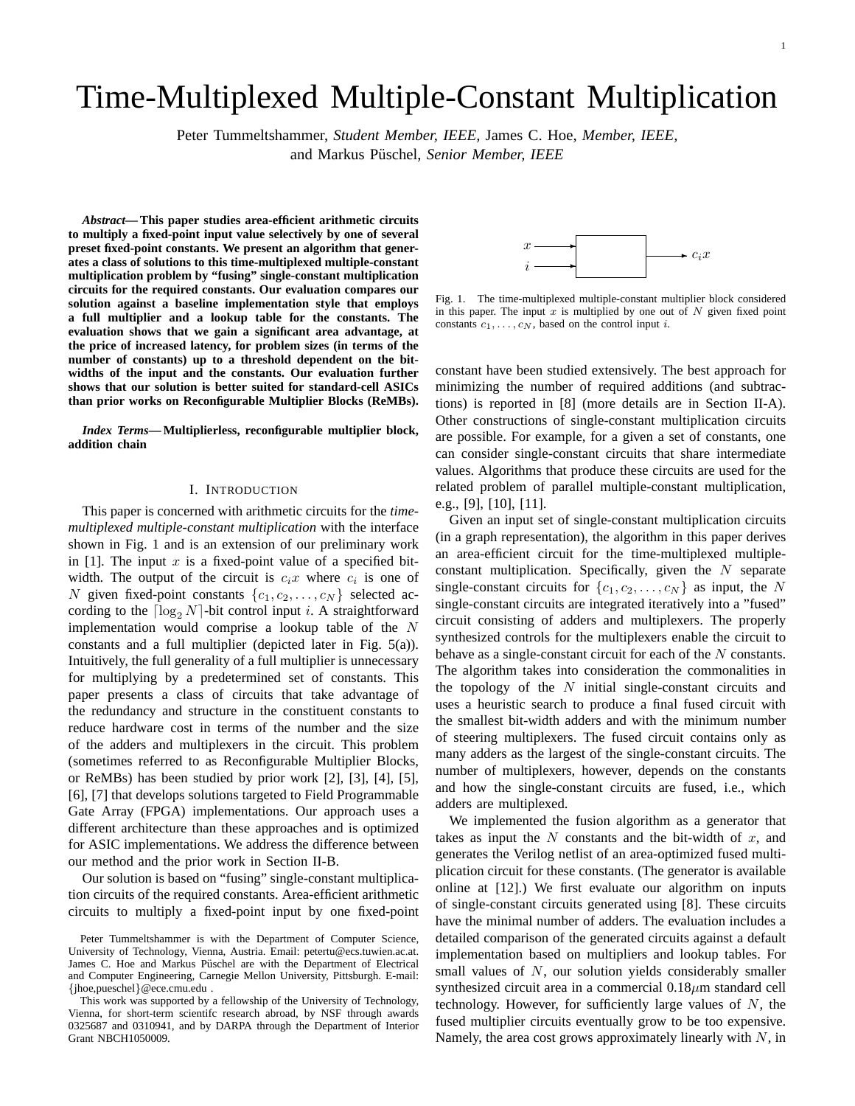# Time-Multiplexed Multiple-Constant Multiplication

Peter Tummeltshammer, *Student Member, IEEE,* James C. Hoe, *Member, IEEE,* and Markus Püschel, Senior Member, IEEE

*Abstract***— This paper studies area-efficient arithmetic circuits to multiply a fixed-point input value selectively by one of several preset fixed-point constants. We present an algorithm that generates a class of solutions to this time-multiplexed multiple-constant multiplication problem by "fusing" single-constant multiplication circuits for the required constants. Our evaluation compares our solution against a baseline implementation style that employs a full multiplier and a lookup table for the constants. The evaluation shows that we gain a significant area advantage, at the price of increased latency, for problem sizes (in terms of the number of constants) up to a threshold dependent on the bitwidths of the input and the constants. Our evaluation further shows that our solution is better suited for standard-cell ASICs than prior works on Reconfigurable Multiplier Blocks (ReMBs).**

*Index Terms***— Multiplierless, reconfigurable multiplier block, addition chain**

## I. INTRODUCTION

This paper is concerned with arithmetic circuits for the *timemultiplexed multiple-constant multiplication* with the interface shown in Fig. 1 and is an extension of our preliminary work in [1]. The input  $x$  is a fixed-point value of a specified bitwidth. The output of the circuit is  $c_i x$  where  $c_i$  is one of N given fixed-point constants  $\{c_1, c_2, \ldots, c_N\}$  selected according to the  $\lceil \log_2 N \rceil$ -bit control input i. A straightforward implementation would comprise a lookup table of the  $N$ constants and a full multiplier (depicted later in Fig. 5(a)). Intuitively, the full generality of a full multiplier is unnecessary for multiplying by a predetermined set of constants. This paper presents a class of circuits that take advantage of the redundancy and structure in the constituent constants to reduce hardware cost in terms of the number and the size of the adders and multiplexers in the circuit. This problem (sometimes referred to as Reconfigurable Multiplier Blocks, or ReMBs) has been studied by prior work [2], [3], [4], [5], [6], [7] that develops solutions targeted to Field Programmable Gate Array (FPGA) implementations. Our approach uses a different architecture than these approaches and is optimized for ASIC implementations. We address the difference between our method and the prior work in Section II-B.

Our solution is based on "fusing" single-constant multiplication circuits of the required constants. Area-efficient arithmetic circuits to multiply a fixed-point input by one fixed-point



Fig. 1. The time-multiplexed multiple-constant multiplier block considered in this paper. The input  $x$  is multiplied by one out of  $N$  given fixed point constants  $c_1, \ldots, c_N$ , based on the control input *i*.

constant have been studied extensively. The best approach for minimizing the number of required additions (and subtractions) is reported in [8] (more details are in Section II-A). Other constructions of single-constant multiplication circuits are possible. For example, for a given a set of constants, one can consider single-constant circuits that share intermediate values. Algorithms that produce these circuits are used for the related problem of parallel multiple-constant multiplication, e.g., [9], [10], [11].

Given an input set of single-constant multiplication circuits (in a graph representation), the algorithm in this paper derives an area-efficient circuit for the time-multiplexed multipleconstant multiplication. Specifically, given the  $N$  separate single-constant circuits for  $\{c_1, c_2, \ldots, c_N\}$  as input, the N single-constant circuits are integrated iteratively into a "fused" circuit consisting of adders and multiplexers. The properly synthesized controls for the multiplexers enable the circuit to behave as a single-constant circuit for each of the N constants. The algorithm takes into consideration the commonalities in the topology of the  $N$  initial single-constant circuits and uses a heuristic search to produce a final fused circuit with the smallest bit-width adders and with the minimum number of steering multiplexers. The fused circuit contains only as many adders as the largest of the single-constant circuits. The number of multiplexers, however, depends on the constants and how the single-constant circuits are fused, i.e., which adders are multiplexed.

We implemented the fusion algorithm as a generator that takes as input the  $N$  constants and the bit-width of  $x$ , and generates the Verilog netlist of an area-optimized fused multiplication circuit for these constants. (The generator is available online at [12].) We first evaluate our algorithm on inputs of single-constant circuits generated using [8]. These circuits have the minimal number of adders. The evaluation includes a detailed comparison of the generated circuits against a default implementation based on multipliers and lookup tables. For small values of  $N$ , our solution yields considerably smaller synthesized circuit area in a commercial  $0.18 \mu m$  standard cell technology. However, for sufficiently large values of  $N$ , the fused multiplier circuits eventually grow to be too expensive. Namely, the area cost grows approximately linearly with  $N$ , in

Peter Tummeltshammer is with the Department of Computer Science, University of Technology, Vienna, Austria. Email: petertu@ecs.tuwien.ac.at. James C. Hoe and Markus Püschel are with the Department of Electrical and Computer Engineering, Carnegie Mellon University, Pittsburgh. E-mail: {jhoe,pueschel}@ece.cmu.edu .

This work was supported by a fellowship of the University of Technology, Vienna, for short-term scientifc research abroad, by NSF through awards 0325687 and 0310941, and by DARPA through the Department of Interior Grant NBCH1050009.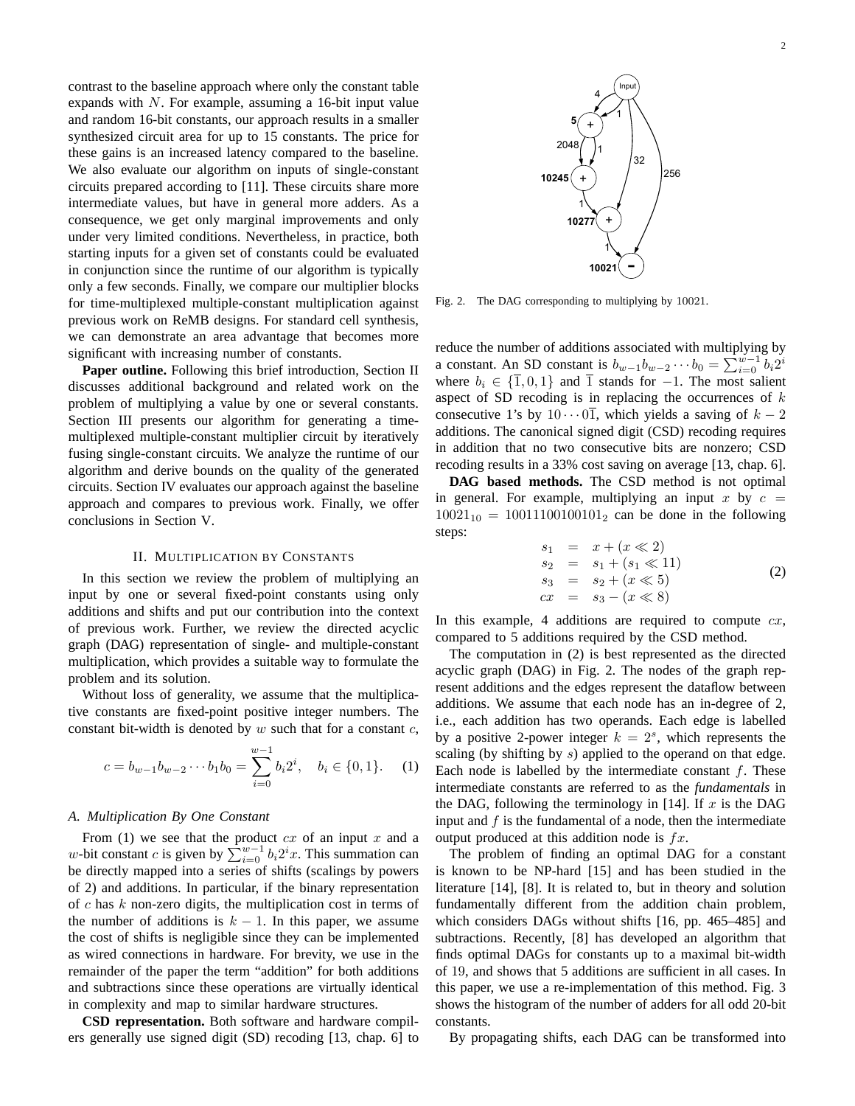contrast to the baseline approach where only the constant table expands with  $N$ . For example, assuming a 16-bit input value and random 16-bit constants, our approach results in a smaller synthesized circuit area for up to 15 constants. The price for these gains is an increased latency compared to the baseline. We also evaluate our algorithm on inputs of single-constant circuits prepared according to [11]. These circuits share more intermediate values, but have in general more adders. As a consequence, we get only marginal improvements and only under very limited conditions. Nevertheless, in practice, both starting inputs for a given set of constants could be evaluated in conjunction since the runtime of our algorithm is typically only a few seconds. Finally, we compare our multiplier blocks for time-multiplexed multiple-constant multiplication against previous work on ReMB designs. For standard cell synthesis, we can demonstrate an area advantage that becomes more significant with increasing number of constants.

**Paper outline.** Following this brief introduction, Section II discusses additional background and related work on the problem of multiplying a value by one or several constants. Section III presents our algorithm for generating a timemultiplexed multiple-constant multiplier circuit by iteratively fusing single-constant circuits. We analyze the runtime of our algorithm and derive bounds on the quality of the generated circuits. Section IV evaluates our approach against the baseline approach and compares to previous work. Finally, we offer conclusions in Section V.

# II. MULTIPLICATION BY CONSTANTS

In this section we review the problem of multiplying an input by one or several fixed-point constants using only additions and shifts and put our contribution into the context of previous work. Further, we review the directed acyclic graph (DAG) representation of single- and multiple-constant multiplication, which provides a suitable way to formulate the problem and its solution.

Without loss of generality, we assume that the multiplicative constants are fixed-point positive integer numbers. The constant bit-width is denoted by  $w$  such that for a constant  $c$ ,

$$
c = b_{w-1}b_{w-2}\cdots b_1b_0 = \sum_{i=0}^{w-1} b_i 2^i, \quad b_i \in \{0, 1\}.
$$
 (1)

## *A. Multiplication By One Constant*

From (1) we see that the product *cx* of an input *x* and a *w*-bit constant *c* is given by  $\sum_{i=0}^{w-1} b_i 2^i x$ . This summation can be directly mapped into a series of shifts (scalings by powers of 2) and additions. In particular, if the binary representation of  $c$  has  $k$  non-zero digits, the multiplication cost in terms of the number of additions is  $k - 1$ . In this paper, we assume the cost of shifts is negligible since they can be implemented as wired connections in hardware. For brevity, we use in the remainder of the paper the term "addition" for both additions and subtractions since these operations are virtually identical in complexity and map to similar hardware structures.

**CSD representation.** Both software and hardware compilers generally use signed digit (SD) recoding [13, chap. 6] to Fig. 2. The DAG corresponding to multiplying by 10021.

reduce the number of additions associated with multiplying by reduce the number of additions associated with multiplying by<br>a constant. An SD constant is  $b_{w-1}b_{w-2}\cdots b_0 = \sum_{i=0}^{w-1} b_i 2^i$ where  $b_i \in \{\overline{1}, 0, 1\}$  and  $\overline{1}$  stands for -1. The most salient aspect of SD recoding is in replacing the occurrences of  $k$ consecutive 1's by  $10 \cdots 0\overline{1}$ , which yields a saving of  $k - 2$ additions. The canonical signed digit (CSD) recoding requires in addition that no two consecutive bits are nonzero; CSD recoding results in a 33% cost saving on average [13, chap. 6].

**DAG based methods.** The CSD method is not optimal in general. For example, multiplying an input x by  $c =$  $10021_{10} = 10011100100101_2$  can be done in the following steps:

$$
s_1 = x + (x \ll 2)
$$
  
\n
$$
s_2 = s_1 + (s_1 \ll 11)
$$
  
\n
$$
s_3 = s_2 + (x \ll 5)
$$
  
\n
$$
cx = s_3 - (x \ll 8)
$$
\n(2)

In this example, 4 additions are required to compute  $cx$ , compared to 5 additions required by the CSD method.

The computation in (2) is best represented as the directed acyclic graph (DAG) in Fig. 2. The nodes of the graph represent additions and the edges represent the dataflow between additions. We assume that each node has an in-degree of 2, i.e., each addition has two operands. Each edge is labelled by a positive 2-power integer  $k = 2<sup>s</sup>$ , which represents the scaling (by shifting by s) applied to the operand on that edge. Each node is labelled by the intermediate constant  $f$ . These intermediate constants are referred to as the *fundamentals* in the DAG, following the terminology in [14]. If  $x$  is the DAG input and  $f$  is the fundamental of a node, then the intermediate output produced at this addition node is  $fx$ .

The problem of finding an optimal DAG for a constant is known to be NP-hard [15] and has been studied in the literature [14], [8]. It is related to, but in theory and solution fundamentally different from the addition chain problem, which considers DAGs without shifts [16, pp. 465–485] and subtractions. Recently, [8] has developed an algorithm that finds optimal DAGs for constants up to a maximal bit-width of 19, and shows that 5 additions are sufficient in all cases. In this paper, we use a re-implementation of this method. Fig. 3 shows the histogram of the number of adders for all odd 20-bit constants.

By propagating shifts, each DAG can be transformed into

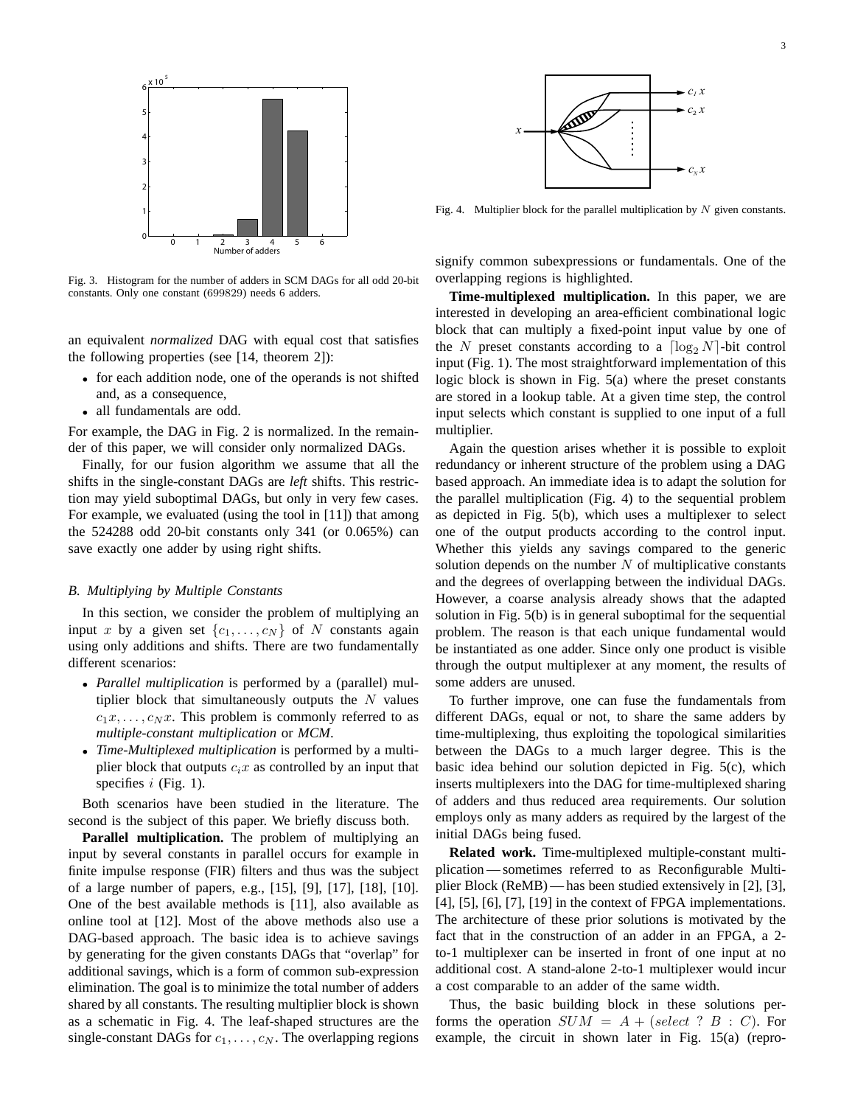

Fig. 3. Histogram for the number of adders in SCM DAGs for all odd 20-bit constants. Only one constant (699829) needs 6 adders.

an equivalent *normalized* DAG with equal cost that satisfies the following properties (see [14, theorem 2]):

- for each addition node, one of the operands is not shifted and, as a consequence,
- all fundamentals are odd.

For example, the DAG in Fig. 2 is normalized. In the remainder of this paper, we will consider only normalized DAGs.

Finally, for our fusion algorithm we assume that all the shifts in the single-constant DAGs are *left* shifts. This restriction may yield suboptimal DAGs, but only in very few cases. For example, we evaluated (using the tool in [11]) that among the 524288 odd 20-bit constants only 341 (or 0.065%) can save exactly one adder by using right shifts.

## *B. Multiplying by Multiple Constants*

In this section, we consider the problem of multiplying an input x by a given set  $\{c_1, \ldots, c_N\}$  of N constants again using only additions and shifts. There are two fundamentally different scenarios:

- *Parallel multiplication* is performed by a (parallel) multiplier block that simultaneously outputs the  $N$  values  $c_1x, \ldots, c_Nx$ . This problem is commonly referred to as *multiple-constant multiplication* or *MCM*.
- *Time-Multiplexed multiplication* is performed by a multiplier block that outputs  $c_i x$  as controlled by an input that specifies  $i$  (Fig. 1).

Both scenarios have been studied in the literature. The second is the subject of this paper. We briefly discuss both.

**Parallel multiplication.** The problem of multiplying an input by several constants in parallel occurs for example in finite impulse response (FIR) filters and thus was the subject of a large number of papers, e.g., [15], [9], [17], [18], [10]. One of the best available methods is [11], also available as online tool at [12]. Most of the above methods also use a DAG-based approach. The basic idea is to achieve savings by generating for the given constants DAGs that "overlap" for additional savings, which is a form of common sub-expression elimination. The goal is to minimize the total number of adders shared by all constants. The resulting multiplier block is shown as a schematic in Fig. 4. The leaf-shaped structures are the single-constant DAGs for  $c_1, \ldots, c_N$ . The overlapping regions



Fig. 4. Multiplier block for the parallel multiplication by  $N$  given constants.

signify common subexpressions or fundamentals. One of the overlapping regions is highlighted.

**Time-multiplexed multiplication.** In this paper, we are interested in developing an area-efficient combinational logic block that can multiply a fixed-point input value by one of the N preset constants according to a  $\lceil \log_2 N \rceil$ -bit control input (Fig. 1). The most straightforward implementation of this logic block is shown in Fig. 5(a) where the preset constants are stored in a lookup table. At a given time step, the control input selects which constant is supplied to one input of a full multiplier.

Again the question arises whether it is possible to exploit redundancy or inherent structure of the problem using a DAG based approach. An immediate idea is to adapt the solution for the parallel multiplication (Fig. 4) to the sequential problem as depicted in Fig. 5(b), which uses a multiplexer to select one of the output products according to the control input. Whether this yields any savings compared to the generic solution depends on the number  $N$  of multiplicative constants and the degrees of overlapping between the individual DAGs. However, a coarse analysis already shows that the adapted solution in Fig. 5(b) is in general suboptimal for the sequential problem. The reason is that each unique fundamental would be instantiated as one adder. Since only one product is visible through the output multiplexer at any moment, the results of some adders are unused.

To further improve, one can fuse the fundamentals from different DAGs, equal or not, to share the same adders by time-multiplexing, thus exploiting the topological similarities between the DAGs to a much larger degree. This is the basic idea behind our solution depicted in Fig. 5(c), which inserts multiplexers into the DAG for time-multiplexed sharing of adders and thus reduced area requirements. Our solution employs only as many adders as required by the largest of the initial DAGs being fused.

**Related work.** Time-multiplexed multiple-constant multiplication — sometimes referred to as Reconfigurable Multiplier Block (ReMB) — has been studied extensively in [2], [3], [4], [5], [6], [7], [19] in the context of FPGA implementations. The architecture of these prior solutions is motivated by the fact that in the construction of an adder in an FPGA, a 2 to-1 multiplexer can be inserted in front of one input at no additional cost. A stand-alone 2-to-1 multiplexer would incur a cost comparable to an adder of the same width.

Thus, the basic building block in these solutions performs the operation  $SUM = A + (select ? B : C)$ . For example, the circuit in shown later in Fig. 15(a) (repro-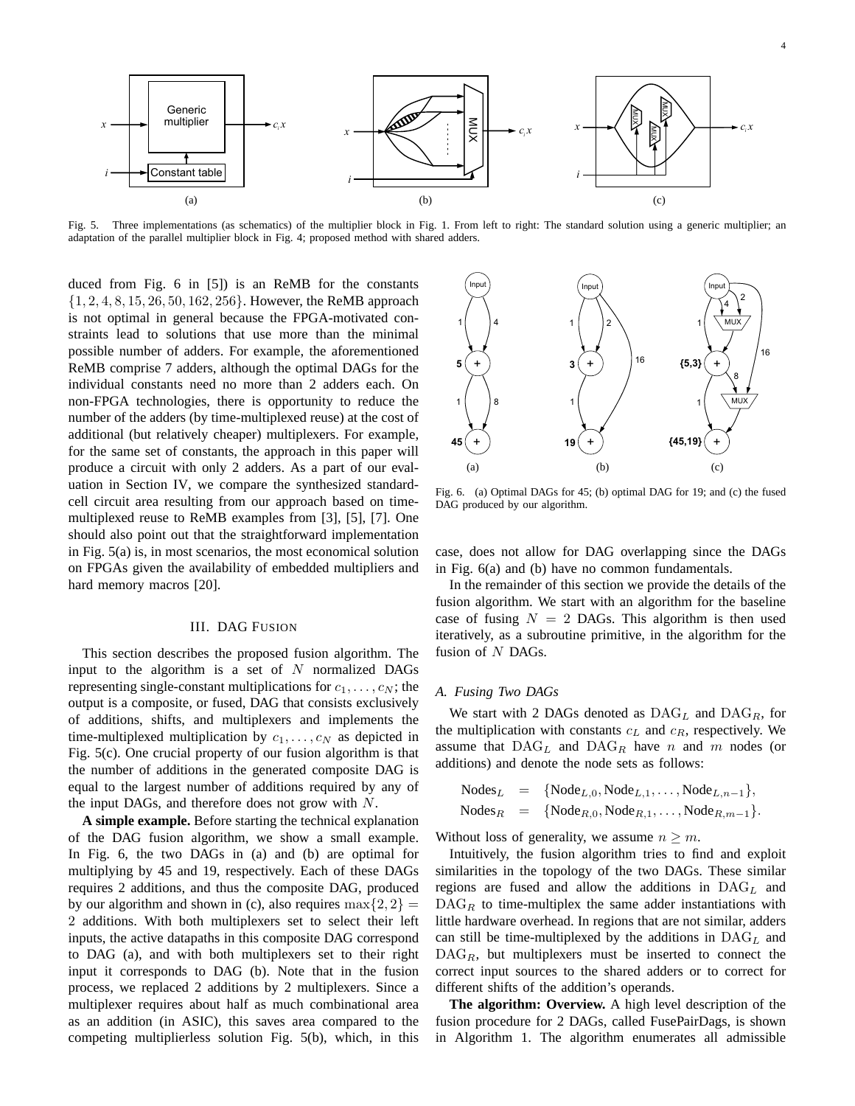

Fig. 5. Three implementations (as schematics) of the multiplier block in Fig. 1. From left to right: The standard solution using a generic multiplier; an adaptation of the parallel multiplier block in Fig. 4; proposed method with shared adders.

duced from Fig. 6 in [5]) is an ReMB for the constants {1, 2, 4, 8, 15, 26, 50, 162, 256}. However, the ReMB approach is not optimal in general because the FPGA-motivated constraints lead to solutions that use more than the minimal possible number of adders. For example, the aforementioned ReMB comprise 7 adders, although the optimal DAGs for the individual constants need no more than 2 adders each. On non-FPGA technologies, there is opportunity to reduce the number of the adders (by time-multiplexed reuse) at the cost of additional (but relatively cheaper) multiplexers. For example, for the same set of constants, the approach in this paper will produce a circuit with only 2 adders. As a part of our evaluation in Section IV, we compare the synthesized standardcell circuit area resulting from our approach based on timemultiplexed reuse to ReMB examples from [3], [5], [7]. One should also point out that the straightforward implementation in Fig. 5(a) is, in most scenarios, the most economical solution on FPGAs given the availability of embedded multipliers and hard memory macros [20].

## III. DAG FUSION

This section describes the proposed fusion algorithm. The input to the algorithm is a set of  $N$  normalized DAGs representing single-constant multiplications for  $c_1, \ldots, c_N$ ; the output is a composite, or fused, DAG that consists exclusively of additions, shifts, and multiplexers and implements the time-multiplexed multiplication by  $c_1, \ldots, c_N$  as depicted in Fig. 5(c). One crucial property of our fusion algorithm is that the number of additions in the generated composite DAG is equal to the largest number of additions required by any of the input DAGs, and therefore does not grow with  $N$ .

**A simple example.** Before starting the technical explanation of the DAG fusion algorithm, we show a small example. In Fig. 6, the two DAGs in (a) and (b) are optimal for multiplying by 45 and 19, respectively. Each of these DAGs requires 2 additions, and thus the composite DAG, produced by our algorithm and shown in (c), also requires  $\max\{2, 2\}$  = 2 additions. With both multiplexers set to select their left inputs, the active datapaths in this composite DAG correspond to DAG (a), and with both multiplexers set to their right input it corresponds to DAG (b). Note that in the fusion process, we replaced 2 additions by 2 multiplexers. Since a multiplexer requires about half as much combinational area as an addition (in ASIC), this saves area compared to the competing multiplierless solution Fig. 5(b), which, in this



Fig. 6. (a) Optimal DAGs for 45; (b) optimal DAG for 19; and (c) the fused DAG produced by our algorithm.

case, does not allow for DAG overlapping since the DAGs in Fig. 6(a) and (b) have no common fundamentals.

In the remainder of this section we provide the details of the fusion algorithm. We start with an algorithm for the baseline case of fusing  $N = 2$  DAGs. This algorithm is then used iteratively, as a subroutine primitive, in the algorithm for the fusion of  $N$  DAGs.

## *A. Fusing Two DAGs*

We start with 2 DAGs denoted as  $\text{DAG}_L$  and  $\text{DAG}_R$ , for the multiplication with constants  $c<sub>L</sub>$  and  $c<sub>R</sub>$ , respectively. We assume that  $\text{DAG}_L$  and  $\text{DAG}_R$  have n and m nodes (or additions) and denote the node sets as follows:

$$
Nodes_L = {Node_{L,0}, Node_{L,1}, ..., Node_{L,n-1}},
$$
  

$$
Nodes_R = {Node_{R,0}, Node_{R,1}, ..., Node_{R,m-1}}.
$$

Without loss of generality, we assume  $n \geq m$ .

Intuitively, the fusion algorithm tries to find and exploit similarities in the topology of the two DAGs. These similar regions are fused and allow the additions in  $\text{DAG}_L$  and  $\text{DAG}_R$  to time-multiplex the same adder instantiations with little hardware overhead. In regions that are not similar, adders can still be time-multiplexed by the additions in  $\text{DAG}_L$  and  $\text{DAG}_R$ , but multiplexers must be inserted to connect the correct input sources to the shared adders or to correct for different shifts of the addition's operands.

**The algorithm: Overview.** A high level description of the fusion procedure for 2 DAGs, called FusePairDags, is shown in Algorithm 1. The algorithm enumerates all admissible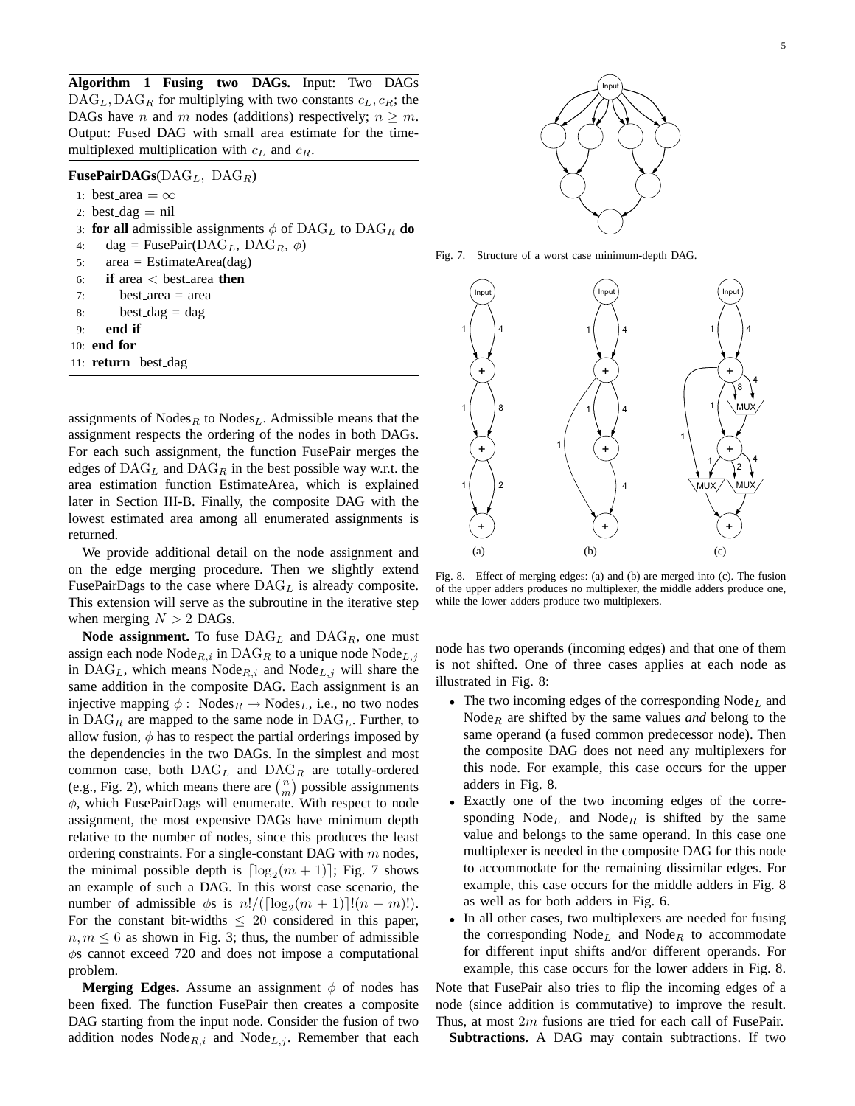**Algorithm 1 Fusing two DAGs.** Input: Two DAGs  $\text{DAG}_L, \text{DAG}_R$  for multiplying with two constants  $c_L, c_R$ ; the DAGs have n and m nodes (additions) respectively;  $n \geq m$ . Output: Fused DAG with small area estimate for the timemultiplexed multiplication with  $c<sub>L</sub>$  and  $c<sub>R</sub>$ .

# **FusePairDAGs**(DAG<sub>L</sub>, DAG<sub>R</sub>)

1: best\_area =  $\infty$ 

- 2: best\_dag  $=$  nil
- 3: **for all** admissible assignments  $\phi$  of DAG<sub>L</sub> to DAG<sub>R</sub> do
- 4: dag = FusePair( $\text{DAG}_L$ ,  $\text{DAG}_R$ ,  $\phi$ )
- 5: area = EstimateArea(dag)
- 6: **if** area < best area **then**
- $7:$  best area  $=$  area
- 8: best\_dag = dag
- 9: **end if**
- 10: **end for**
- 11: **return** best\_dag

assignments of Nodes<sub>R</sub> to Nodes<sub>L</sub>. Admissible means that the assignment respects the ordering of the nodes in both DAGs. For each such assignment, the function FusePair merges the edges of  $\text{DAG}_L$  and  $\text{DAG}_R$  in the best possible way w.r.t. the area estimation function EstimateArea, which is explained later in Section III-B. Finally, the composite DAG with the lowest estimated area among all enumerated assignments is returned.

We provide additional detail on the node assignment and on the edge merging procedure. Then we slightly extend FusePairDags to the case where  $\text{DAG}_L$  is already composite. This extension will serve as the subroutine in the iterative step when merging  $N > 2$  DAGs.

**Node assignment.** To fuse  $\text{DAG}_L$  and  $\text{DAG}_R$ , one must assign each node  $\text{Node}_{R,i}$  in  $\text{DAG}_R$  to a unique node  $\text{Node}_{L,i}$ in  $\text{DAG}_L$ , which means  $\text{Node}_{R,i}$  and  $\text{Node}_{L,j}$  will share the same addition in the composite DAG. Each assignment is an injective mapping  $\phi$ : Nodes $_R \rightarrow$  Nodes<sub>L</sub>, i.e., no two nodes in  $\text{DAG}_R$  are mapped to the same node in  $\text{DAG}_L$ . Further, to allow fusion,  $\phi$  has to respect the partial orderings imposed by the dependencies in the two DAGs. In the simplest and most common case, both  $\text{DAG}_L$  and  $\text{DAG}_R$  are totally-ordered common case, both DAG<sub>L</sub> and DAG<sub>R</sub> are totally-ordered (e.g., Fig. 2), which means there are  $\binom{n}{m}$  possible assignments  $\phi$ , which FusePairDags will enumerate. With respect to node assignment, the most expensive DAGs have minimum depth relative to the number of nodes, since this produces the least ordering constraints. For a single-constant DAG with  $m$  nodes, the minimal possible depth is  $\lceil \log_2(m + 1) \rceil$ ; Fig. 7 shows an example of such a DAG. In this worst case scenario, the number of admissible  $\phi$ s is  $n!/(\lceil \log_2(m+1) \rceil!(n-m)!)$ . For the constant bit-widths  $\leq 20$  considered in this paper,  $n, m \leq 6$  as shown in Fig. 3; thus, the number of admissible  $\phi$ s cannot exceed 720 and does not impose a computational problem.

**Merging Edges.** Assume an assignment  $\phi$  of nodes has been fixed. The function FusePair then creates a composite DAG starting from the input node. Consider the fusion of two addition nodes  $Node_{R,i}$  and  $Node_{L,i}$ . Remember that each



Fig. 7. Structure of a worst case minimum-depth DAG.



Fig. 8. Effect of merging edges: (a) and (b) are merged into (c). The fusion of the upper adders produces no multiplexer, the middle adders produce one, while the lower adders produce two multiplexers.

node has two operands (incoming edges) and that one of them is not shifted. One of three cases applies at each node as illustrated in Fig. 8:

- The two incoming edges of the corresponding  $\text{Node}_L$  and Node<sub>R</sub> are shifted by the same values *and* belong to the same operand (a fused common predecessor node). Then the composite DAG does not need any multiplexers for this node. For example, this case occurs for the upper adders in Fig. 8.
- Exactly one of the two incoming edges of the corresponding  $Node<sub>L</sub>$  and  $Node<sub>R</sub>$  is shifted by the same value and belongs to the same operand. In this case one multiplexer is needed in the composite DAG for this node to accommodate for the remaining dissimilar edges. For example, this case occurs for the middle adders in Fig. 8 as well as for both adders in Fig. 6.
- In all other cases, two multiplexers are needed for fusing the corresponding  $Node<sub>L</sub>$  and  $Node<sub>R</sub>$  to accommodate for different input shifts and/or different operands. For example, this case occurs for the lower adders in Fig. 8.

Note that FusePair also tries to flip the incoming edges of a node (since addition is commutative) to improve the result. Thus, at most  $2m$  fusions are tried for each call of FusePair.

**Subtractions.** A DAG may contain subtractions. If two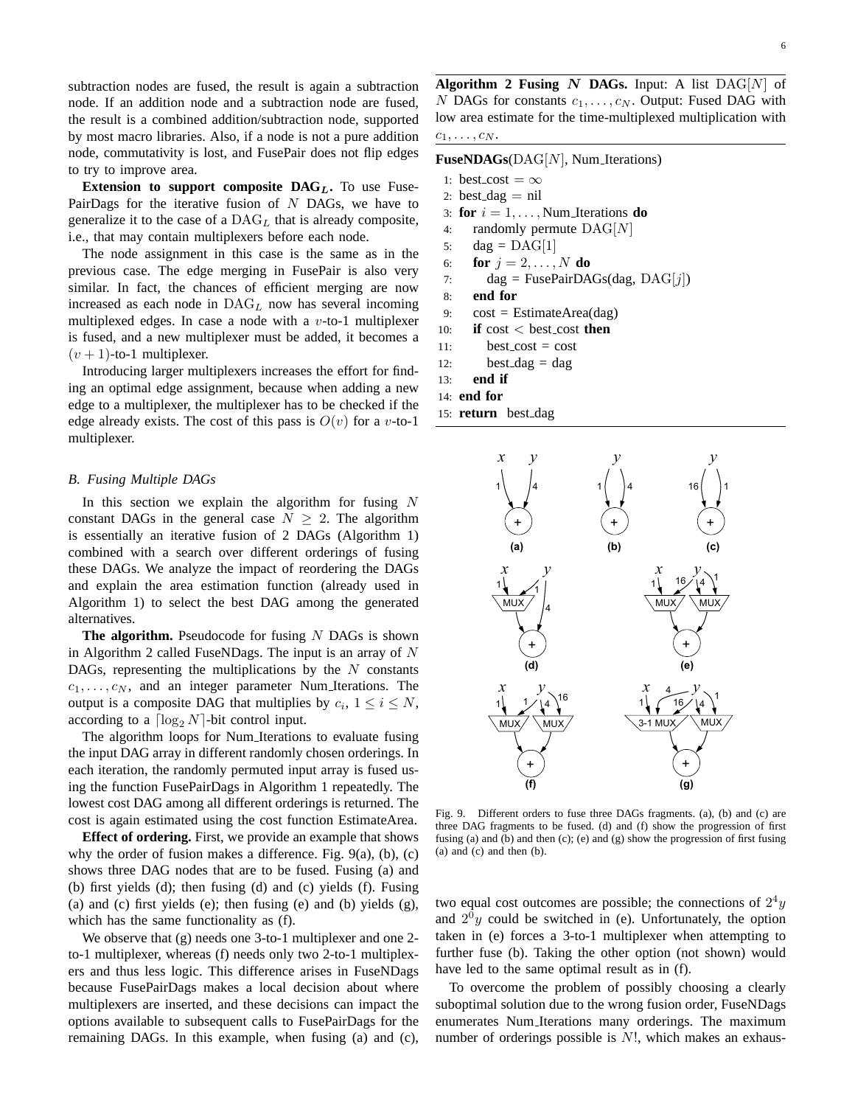subtraction nodes are fused, the result is again a subtraction node. If an addition node and a subtraction node are fused, the result is a combined addition/subtraction node, supported by most macro libraries. Also, if a node is not a pure addition node, commutativity is lost, and FusePair does not flip edges to try to improve area.

**Extension to support composite DAG<sub>L</sub>.** To use Fuse-PairDags for the iterative fusion of  $N$  DAGs, we have to generalize it to the case of a  $\text{DAG}_L$  that is already composite, i.e., that may contain multiplexers before each node.

The node assignment in this case is the same as in the previous case. The edge merging in FusePair is also very similar. In fact, the chances of efficient merging are now increased as each node in  $\text{DAG}_L$  now has several incoming multiplexed edges. In case a node with a  $v$ -to-1 multiplexer is fused, and a new multiplexer must be added, it becomes a  $(v + 1)$ -to-1 multiplexer.

Introducing larger multiplexers increases the effort for finding an optimal edge assignment, because when adding a new edge to a multiplexer, the multiplexer has to be checked if the edge already exists. The cost of this pass is  $O(v)$  for a v-to-1 multiplexer.

## *B. Fusing Multiple DAGs*

In this section we explain the algorithm for fusing  $N$ constant DAGs in the general case  $N > 2$ . The algorithm is essentially an iterative fusion of 2 DAGs (Algorithm 1) combined with a search over different orderings of fusing these DAGs. We analyze the impact of reordering the DAGs and explain the area estimation function (already used in Algorithm 1) to select the best DAG among the generated alternatives.

**The algorithm.** Pseudocode for fusing N DAGs is shown in Algorithm 2 called FuseNDags. The input is an array of  $N$ DAGs, representing the multiplications by the  $N$  constants  $c_1, \ldots, c_N$ , and an integer parameter Num Iterations. The output is a composite DAG that multiplies by  $c_i$ ,  $1 \le i \le N$ , according to a  $\lceil \log_2 N \rceil$ -bit control input.

The algorithm loops for Num Iterations to evaluate fusing the input DAG array in different randomly chosen orderings. In each iteration, the randomly permuted input array is fused using the function FusePairDags in Algorithm 1 repeatedly. The lowest cost DAG among all different orderings is returned. The cost is again estimated using the cost function EstimateArea.

**Effect of ordering.** First, we provide an example that shows why the order of fusion makes a difference. Fig.  $9(a)$ ,  $(b)$ ,  $(c)$ shows three DAG nodes that are to be fused. Fusing (a) and (b) first yields (d); then fusing (d) and (c) yields (f). Fusing (a) and (c) first yields (e); then fusing (e) and (b) yields (g), which has the same functionality as (f).

We observe that (g) needs one 3-to-1 multiplexer and one 2 to-1 multiplexer, whereas (f) needs only two 2-to-1 multiplexers and thus less logic. This difference arises in FuseNDags because FusePairDags makes a local decision about where multiplexers are inserted, and these decisions can impact the options available to subsequent calls to FusePairDags for the remaining DAGs. In this example, when fusing (a) and (c),

**Algorithm 2 Fusing**  $N$  **DAGs.** Input: A list  $\text{DAG}[N]$  of N DAGs for constants  $c_1, \ldots, c_N$ . Output: Fused DAG with low area estimate for the time-multiplexed multiplication with  $c_1, \ldots, c_N$ .

# **FuseNDAGs**(DAG[N], Num\_Iterations)

- 1: best\_cost =  $\infty$
- 2: best\_dag  $=$  nil
- 3: **for**  $i = 1, \ldots, \text{Num\_Iterations}$  **do**
- 4: randomly permute DAG[N]
- 5: dag =  $\text{DAG}[1]$
- 6: **for**  $j = 2, ..., N$  **do**
- 7:  $\text{dag} = \text{FusePairDAGs}(\text{dag}, \text{DAG}[i])$
- 8: **end for**
- 9:  $cost = EstimateArea(dag)$
- 10: **if** cost < best\_cost **then**
- 11:  $best\_cost = cost$
- 12: best\_dag = dag
- 13: **end if**
- 14: **end for**
- 15: **return** best dag



Fig. 9. Different orders to fuse three DAGs fragments. (a), (b) and (c) are three DAG fragments to be fused. (d) and (f) show the progression of first fusing (a) and (b) and then (c); (e) and (g) show the progression of first fusing (a) and (c) and then (b).

two equal cost outcomes are possible; the connections of  $2^4y$ and  $2^0y$  could be switched in (e). Unfortunately, the option taken in (e) forces a 3-to-1 multiplexer when attempting to further fuse (b). Taking the other option (not shown) would have led to the same optimal result as in (f).

To overcome the problem of possibly choosing a clearly suboptimal solution due to the wrong fusion order, FuseNDags enumerates Num Iterations many orderings. The maximum number of orderings possible is N!, which makes an exhaus-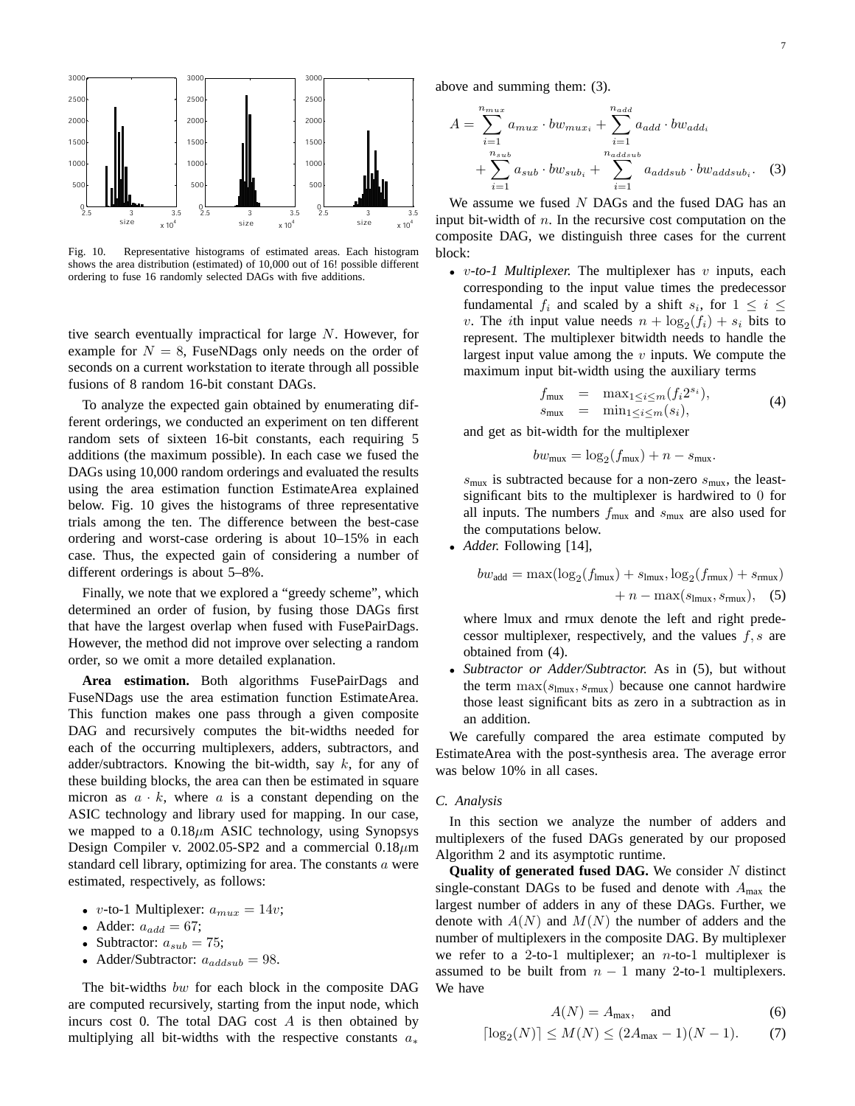

Fig. 10. Representative histograms of estimated areas. Each histogram shows the area distribution (estimated) of 10,000 out of 16! possible different ordering to fuse 16 randomly selected DAGs with five additions.

tive search eventually impractical for large N. However, for example for  $N = 8$ , FuseNDags only needs on the order of seconds on a current workstation to iterate through all possible fusions of 8 random 16-bit constant DAGs.

To analyze the expected gain obtained by enumerating different orderings, we conducted an experiment on ten different random sets of sixteen 16-bit constants, each requiring 5 additions (the maximum possible). In each case we fused the DAGs using 10,000 random orderings and evaluated the results using the area estimation function EstimateArea explained below. Fig. 10 gives the histograms of three representative trials among the ten. The difference between the best-case ordering and worst-case ordering is about 10–15% in each case. Thus, the expected gain of considering a number of different orderings is about 5–8%.

Finally, we note that we explored a "greedy scheme", which determined an order of fusion, by fusing those DAGs first that have the largest overlap when fused with FusePairDags. However, the method did not improve over selecting a random order, so we omit a more detailed explanation.

**Area estimation.** Both algorithms FusePairDags and FuseNDags use the area estimation function EstimateArea. This function makes one pass through a given composite DAG and recursively computes the bit-widths needed for each of the occurring multiplexers, adders, subtractors, and adder/subtractors. Knowing the bit-width, say  $k$ , for any of these building blocks, the area can then be estimated in square micron as  $a \cdot k$ , where a is a constant depending on the ASIC technology and library used for mapping. In our case, we mapped to a  $0.18 \mu m$  ASIC technology, using Synopsys Design Compiler v. 2002.05-SP2 and a commercial  $0.18 \mu m$ standard cell library, optimizing for area. The constants a were estimated, respectively, as follows:

- v-to-1 Multiplexer:  $a_{max} = 14v$ ;
- Adder:  $a_{add} = 67$ ;
- Subtractor:  $a_{sub} = 75$ ;
- Adder/Subtractor:  $a_{addsub} = 98$ .

The bit-widths bw for each block in the composite DAG are computed recursively, starting from the input node, which incurs cost 0. The total DAG cost  $A$  is then obtained by multiplying all bit-widths with the respective constants  $a_*$ 

above and summing them: (3).

$$
A = \sum_{i=1}^{n_{mu}x} a_{mu} \cdot b w_{mu} \cdot \sum_{i=1}^{n_{add}} a_{add} \cdot b w_{add_i}
$$
  
+ 
$$
\sum_{i=1}^{n_{sub}} a_{sub} \cdot b w_{sub_i} + \sum_{i=1}^{n_{addsub}} a_{addsub} \cdot b w_{addsub_i}.
$$
 (3)

We assume we fused  $N$  DAGs and the fused DAG has an input bit-width of  $n$ . In the recursive cost computation on the composite DAG, we distinguish three cases for the current block:

• *v-to-1 Multiplexer*. The multiplexer has *v* inputs, each corresponding to the input value times the predecessor fundamental  $f_i$  and scaled by a shift  $s_i$ , for  $1 \leq i \leq$ v. The *i*th input value needs  $n + \log_2(f_i) + s_i$  bits to represent. The multiplexer bitwidth needs to handle the largest input value among the  $v$  inputs. We compute the maximum input bit-width using the auxiliary terms

$$
f_{\text{mux}} = \max_{1 \le i \le m} (f_i 2^{s_i}),
$$
  
\n
$$
s_{\text{mux}} = \min_{1 \le i \le m} (s_i),
$$
\n(4)

and get as bit-width for the multiplexer

$$
bw_{\text{mux}} = \log_2(f_{\text{mux}}) + n - s_{\text{mux}}.
$$

 $s_{\text{mux}}$  is subtracted because for a non-zero  $s_{\text{mux}}$ , the leastsignificant bits to the multiplexer is hardwired to 0 for all inputs. The numbers  $f_{\text{mux}}$  and  $s_{\text{mux}}$  are also used for the computations below.

• *Adder.* Following [14],

$$
bw_{\text{add}} = \max(\log_2(f_{\text{Imux}}) + s_{\text{Imux}}, \log_2(f_{\text{Imux}}) + s_{\text{rmux}}) + n - \max(s_{\text{Imux}}, s_{\text{rmux}}),
$$
 (5)

where lmux and rmux denote the left and right predecessor multiplexer, respectively, and the values  $f, s$  are obtained from (4).

• *Subtractor or Adder/Subtractor.* As in (5), but without the term  $\max(s_{lmux}, s_{rmux})$  because one cannot hardwire those least significant bits as zero in a subtraction as in an addition.

We carefully compared the area estimate computed by EstimateArea with the post-synthesis area. The average error was below 10% in all cases.

## *C. Analysis*

In this section we analyze the number of adders and multiplexers of the fused DAGs generated by our proposed Algorithm 2 and its asymptotic runtime.

**Quality of generated fused DAG.** We consider N distinct single-constant DAGs to be fused and denote with  $A_{\text{max}}$  the largest number of adders in any of these DAGs. Further, we denote with  $A(N)$  and  $M(N)$  the number of adders and the number of multiplexers in the composite DAG. By multiplexer we refer to a 2-to-1 multiplexer; an  $n$ -to-1 multiplexer is assumed to be built from  $n - 1$  many 2-to-1 multiplexers. We have

$$
A(N) = A_{\text{max}}, \quad \text{and} \tag{6}
$$

$$
\lceil \log_2(N) \rceil \le M(N) \le (2A_{\max} - 1)(N - 1). \tag{7}
$$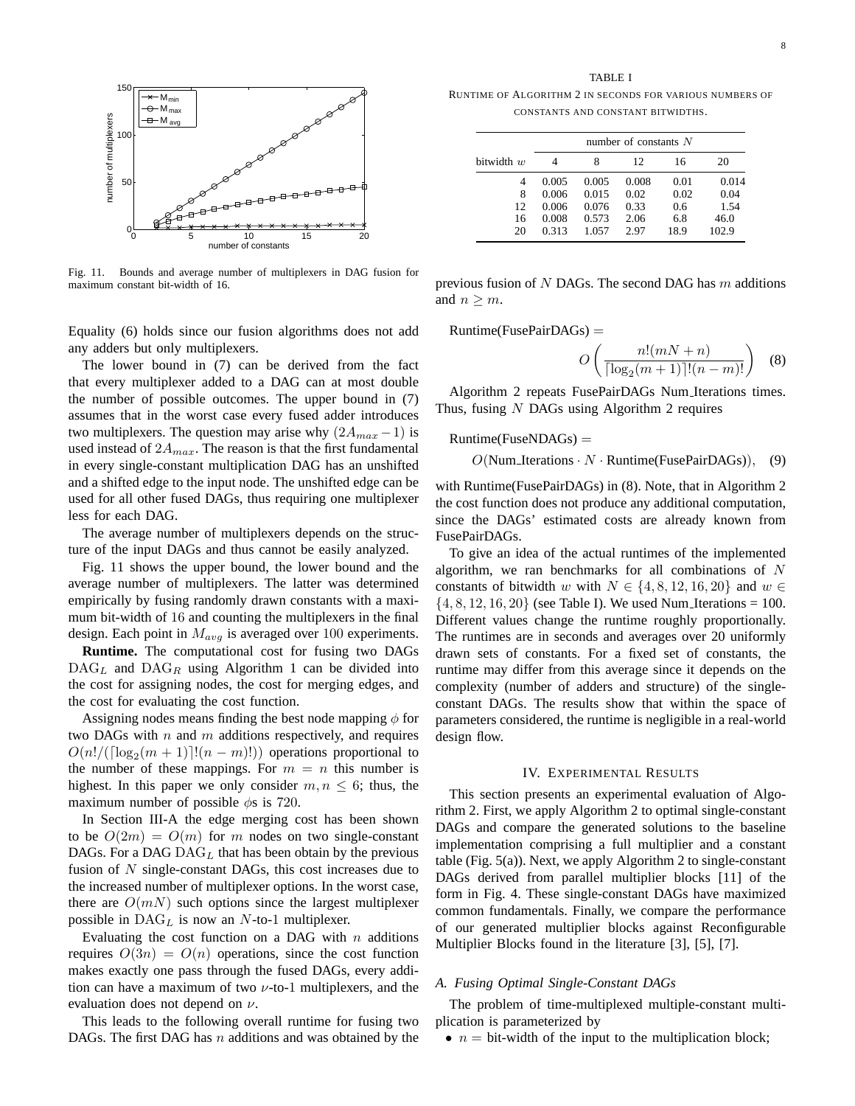

Fig. 11. Bounds and average number of multiplexers in DAG fusion for maximum constant bit-width of 16.

Equality (6) holds since our fusion algorithms does not add any adders but only multiplexers.

The lower bound in (7) can be derived from the fact that every multiplexer added to a DAG can at most double the number of possible outcomes. The upper bound in (7) assumes that in the worst case every fused adder introduces two multiplexers. The question may arise why  $(2A_{max} - 1)$  is used instead of  $2A_{max}$ . The reason is that the first fundamental in every single-constant multiplication DAG has an unshifted and a shifted edge to the input node. The unshifted edge can be used for all other fused DAGs, thus requiring one multiplexer less for each DAG.

The average number of multiplexers depends on the structure of the input DAGs and thus cannot be easily analyzed.

Fig. 11 shows the upper bound, the lower bound and the average number of multiplexers. The latter was determined empirically by fusing randomly drawn constants with a maximum bit-width of 16 and counting the multiplexers in the final design. Each point in  $M_{avg}$  is averaged over 100 experiments.

**Runtime.** The computational cost for fusing two DAGs  $\text{DAG}_L$  and  $\text{DAG}_R$  using Algorithm 1 can be divided into the cost for assigning nodes, the cost for merging edges, and the cost for evaluating the cost function.

Assigning nodes means finding the best node mapping  $\phi$  for two DAGs with  $n$  and  $m$  additions respectively, and requires  $O(n! / (\lceil \log_2(m + 1) \rceil! (n - m)!))$  operations proportional to the number of these mappings. For  $m = n$  this number is highest. In this paper we only consider  $m, n \leq 6$ ; thus, the maximum number of possible  $\phi$ s is 720.

In Section III-A the edge merging cost has been shown to be  $O(2m) = O(m)$  for m nodes on two single-constant DAGs. For a DAG  $\text{DAG}_L$  that has been obtain by the previous fusion of  $N$  single-constant DAGs, this cost increases due to the increased number of multiplexer options. In the worst case, there are  $O(mN)$  such options since the largest multiplexer possible in  $\text{DAG}_L$  is now an N-to-1 multiplexer.

Evaluating the cost function on a DAG with  $n$  additions requires  $O(3n) = O(n)$  operations, since the cost function makes exactly one pass through the fused DAGs, every addition can have a maximum of two  $\nu$ -to-1 multiplexers, and the evaluation does not depend on  $\nu$ .

This leads to the following overall runtime for fusing two DAGs. The first DAG has  $n$  additions and was obtained by the

TABLE I RUNTIME OF ALGORITHM 2 IN SECONDS FOR VARIOUS NUMBERS OF CONSTANTS AND CONSTANT BITWIDTHS.

|              | number of constants $N$ |       |       |      |       |  |  |
|--------------|-------------------------|-------|-------|------|-------|--|--|
| bitwidth $w$ |                         | 8     | 12    | 16   | 20    |  |  |
| 4            | 0.005                   | 0.005 | 0.008 | 0.01 | 0.014 |  |  |
| 8            | 0.006                   | 0.015 | 0.02  | 0.02 | 0.04  |  |  |
| 12           | 0.006                   | 0.076 | 0.33  | 0.6  | 1.54  |  |  |
| 16           | 0.008                   | 0.573 | 2.06  | 6.8  | 46.0  |  |  |
| 20           | 0.313                   | 1.057 | 2.97  | 18.9 | 102.9 |  |  |

previous fusion of  $N$  DAGs. The second DAG has  $m$  additions and  $n \geq m$ .

 $\text{Runtime}(\text{FusePairDAGs}) =$ 

$$
O\left(\frac{n!(mN+n)}{\lceil \log_2(m+1)\rceil!(n-m)!}\right) \quad (8)
$$

Algorithm 2 repeats FusePairDAGs Num Iterations times. Thus, fusing  $N$  DAGs using Algorithm 2 requires

## $Runtime(FuseNDAGs) =$

 $O(Num\_{terations} \cdot N \cdot$  Runtime(FusePairDAGs)), (9)

with Runtime(FusePairDAGs) in (8). Note, that in Algorithm 2 the cost function does not produce any additional computation, since the DAGs' estimated costs are already known from FusePairDAGs.

To give an idea of the actual runtimes of the implemented algorithm, we ran benchmarks for all combinations of  $N$ constants of bitwidth w with  $N \in \{4, 8, 12, 16, 20\}$  and  $w \in$  $\{4, 8, 12, 16, 20\}$  (see Table I). We used Num Iterations = 100. Different values change the runtime roughly proportionally. The runtimes are in seconds and averages over 20 uniformly drawn sets of constants. For a fixed set of constants, the runtime may differ from this average since it depends on the complexity (number of adders and structure) of the singleconstant DAGs. The results show that within the space of parameters considered, the runtime is negligible in a real-world design flow.

#### IV. EXPERIMENTAL RESULTS

This section presents an experimental evaluation of Algorithm 2. First, we apply Algorithm 2 to optimal single-constant DAGs and compare the generated solutions to the baseline implementation comprising a full multiplier and a constant table (Fig. 5(a)). Next, we apply Algorithm 2 to single-constant DAGs derived from parallel multiplier blocks [11] of the form in Fig. 4. These single-constant DAGs have maximized common fundamentals. Finally, we compare the performance of our generated multiplier blocks against Reconfigurable Multiplier Blocks found in the literature [3], [5], [7].

## *A. Fusing Optimal Single-Constant DAGs*

The problem of time-multiplexed multiple-constant multiplication is parameterized by

•  $n = \text{bit-width of the input to the multiplication block};$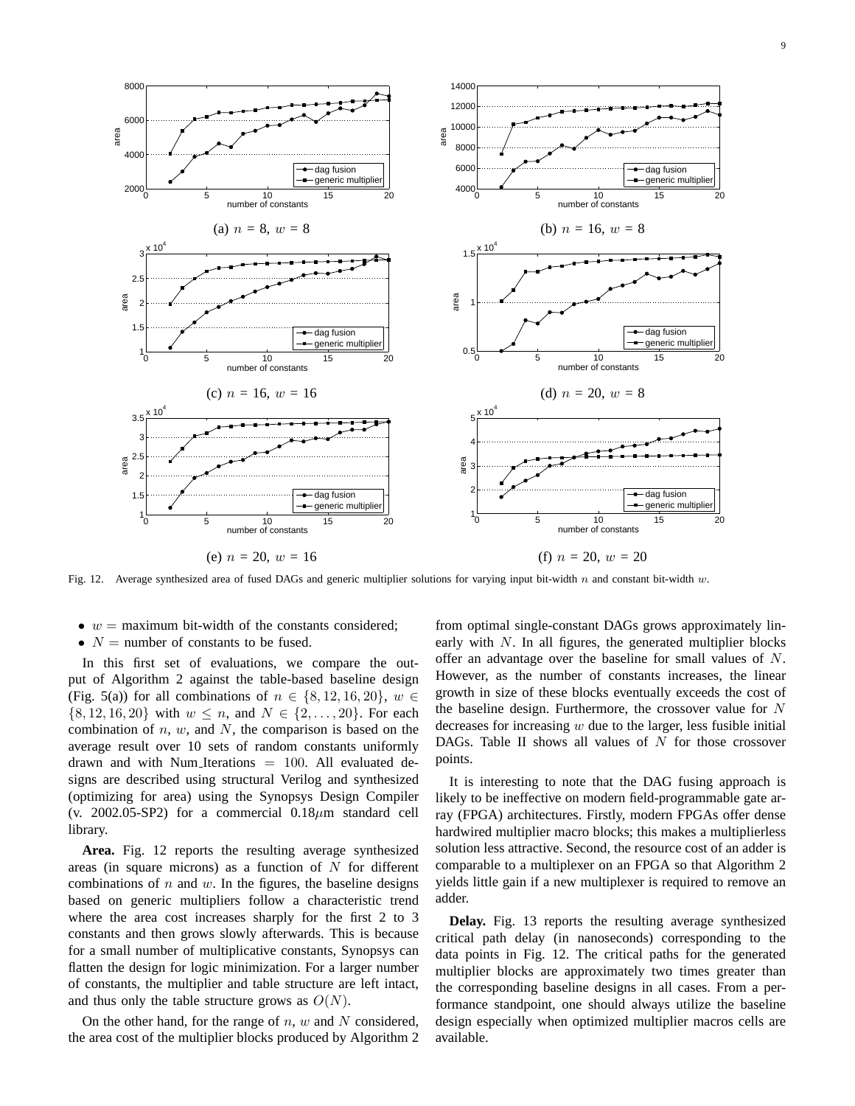

Fig. 12. Average synthesized area of fused DAGs and generic multiplier solutions for varying input bit-width n and constant bit-width w.

- $w =$  maximum bit-width of the constants considered;
- $N =$  number of constants to be fused.

In this first set of evaluations, we compare the output of Algorithm 2 against the table-based baseline design (Fig. 5(a)) for all combinations of  $n \in \{8, 12, 16, 20\}$ ,  $w \in$  $\{8, 12, 16, 20\}$  with  $w \le n$ , and  $N \in \{2, ..., 20\}$ . For each combination of  $n, w$ , and  $N$ , the comparison is based on the average result over 10 sets of random constants uniformly drawn and with Num Iterations  $= 100$ . All evaluated designs are described using structural Verilog and synthesized (optimizing for area) using the Synopsys Design Compiler (v. 2002.05-SP2) for a commercial  $0.18 \mu m$  standard cell library.

**Area.** Fig. 12 reports the resulting average synthesized areas (in square microns) as a function of  $N$  for different combinations of  $n$  and  $w$ . In the figures, the baseline designs based on generic multipliers follow a characteristic trend where the area cost increases sharply for the first 2 to 3 constants and then grows slowly afterwards. This is because for a small number of multiplicative constants, Synopsys can flatten the design for logic minimization. For a larger number of constants, the multiplier and table structure are left intact, and thus only the table structure grows as  $O(N)$ .

On the other hand, for the range of  $n, w$  and N considered, the area cost of the multiplier blocks produced by Algorithm 2

from optimal single-constant DAGs grows approximately linearly with  $N$ . In all figures, the generated multiplier blocks offer an advantage over the baseline for small values of N. However, as the number of constants increases, the linear growth in size of these blocks eventually exceeds the cost of the baseline design. Furthermore, the crossover value for  $N$ decreases for increasing  $w$  due to the larger, less fusible initial DAGs. Table II shows all values of  $N$  for those crossover points.

It is interesting to note that the DAG fusing approach is likely to be ineffective on modern field-programmable gate array (FPGA) architectures. Firstly, modern FPGAs offer dense hardwired multiplier macro blocks; this makes a multiplierless solution less attractive. Second, the resource cost of an adder is comparable to a multiplexer on an FPGA so that Algorithm 2 yields little gain if a new multiplexer is required to remove an adder.

**Delay.** Fig. 13 reports the resulting average synthesized critical path delay (in nanoseconds) corresponding to the data points in Fig. 12. The critical paths for the generated multiplier blocks are approximately two times greater than the corresponding baseline designs in all cases. From a performance standpoint, one should always utilize the baseline design especially when optimized multiplier macros cells are available.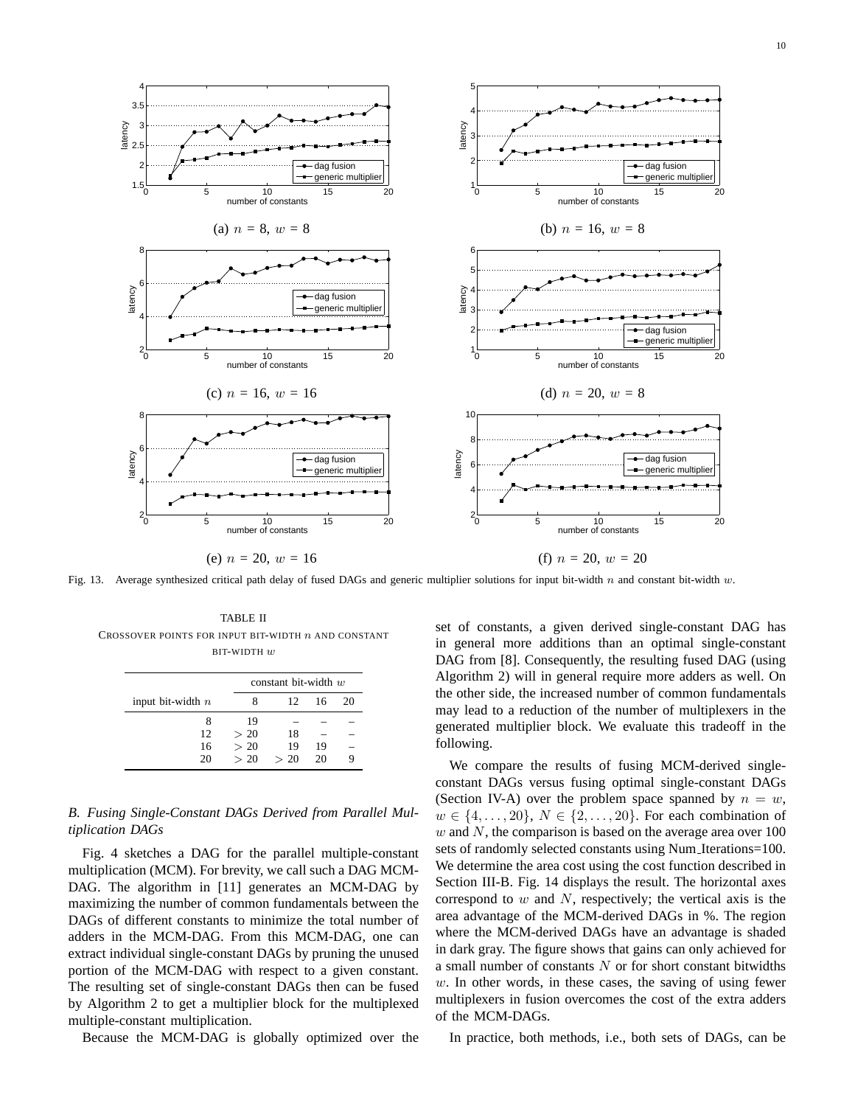

Fig. 13. Average synthesized critical path delay of fused DAGs and generic multiplier solutions for input bit-width n and constant bit-width w.

TABLE II CROSSOVER POINTS FOR INPUT BIT-WIDTH  $n$  and constant BIT-WIDTH w

|                     | constant bit-width $w$ |              |    |    |
|---------------------|------------------------|--------------|----|----|
| input bit-width $n$ |                        | $12^{\circ}$ | 16 | 20 |
| 8                   | 19                     |              |    |    |
| 12                  | > 20                   | 18           |    |    |
| 16                  | > 20                   | 19           | 19 |    |
| 20                  | > 20                   | > 20         | 20 | Q  |

# *B. Fusing Single-Constant DAGs Derived from Parallel Multiplication DAGs*

Fig. 4 sketches a DAG for the parallel multiple-constant multiplication (MCM). For brevity, we call such a DAG MCM-DAG. The algorithm in [11] generates an MCM-DAG by maximizing the number of common fundamentals between the DAGs of different constants to minimize the total number of adders in the MCM-DAG. From this MCM-DAG, one can extract individual single-constant DAGs by pruning the unused portion of the MCM-DAG with respect to a given constant. The resulting set of single-constant DAGs then can be fused by Algorithm 2 to get a multiplier block for the multiplexed multiple-constant multiplication.

Because the MCM-DAG is globally optimized over the

set of constants, a given derived single-constant DAG has in general more additions than an optimal single-constant DAG from [8]. Consequently, the resulting fused DAG (using Algorithm 2) will in general require more adders as well. On the other side, the increased number of common fundamentals may lead to a reduction of the number of multiplexers in the generated multiplier block. We evaluate this tradeoff in the following.

We compare the results of fusing MCM-derived singleconstant DAGs versus fusing optimal single-constant DAGs (Section IV-A) over the problem space spanned by  $n = w$ ,  $w \in \{4, \ldots, 20\}, N \in \{2, \ldots, 20\}.$  For each combination of w and N, the comparison is based on the average area over  $100$ sets of randomly selected constants using Num Iterations=100. We determine the area cost using the cost function described in Section III-B. Fig. 14 displays the result. The horizontal axes correspond to  $w$  and  $N$ , respectively; the vertical axis is the area advantage of the MCM-derived DAGs in %. The region where the MCM-derived DAGs have an advantage is shaded in dark gray. The figure shows that gains can only achieved for a small number of constants  $N$  or for short constant bitwidths  $w$ . In other words, in these cases, the saving of using fewer multiplexers in fusion overcomes the cost of the extra adders of the MCM-DAGs.

In practice, both methods, i.e., both sets of DAGs, can be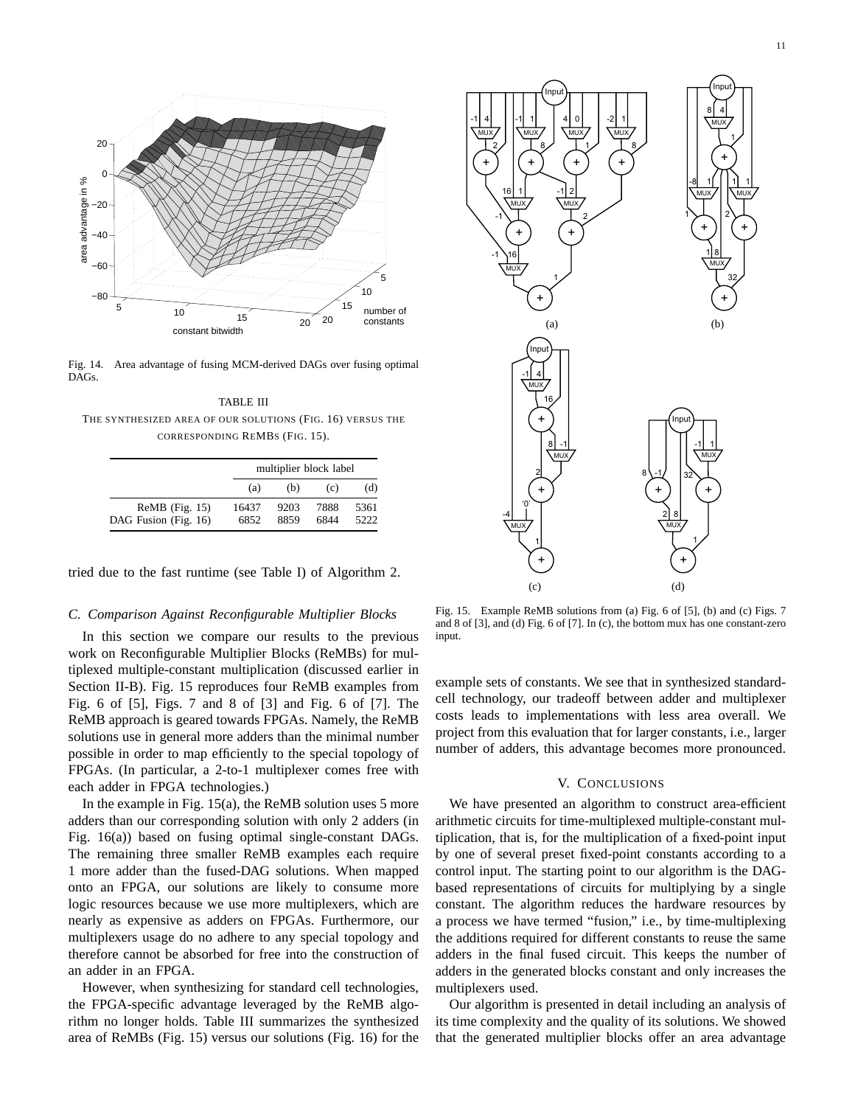

Fig. 14. Area advantage of fusing MCM-derived DAGs over fusing optimal DAGs.

TABLE III THE SYNTHESIZED AREA OF OUR SOLUTIONS (FIG. 16) VERSUS THE CORRESPONDING REMBS (FIG. 15).

|                                          |               | multiplier block label |              |              |  |  |
|------------------------------------------|---------------|------------------------|--------------|--------------|--|--|
|                                          | (a)           | (b)                    | (c)          | (d)          |  |  |
| $ReMB$ (Fig. 15)<br>DAG Fusion (Fig. 16) | 16437<br>6852 | 9203<br>8859           | 7888<br>6844 | 5361<br>5222 |  |  |

tried due to the fast runtime (see Table I) of Algorithm 2.

## *C. Comparison Against Reconfigurable Multiplier Blocks*

In this section we compare our results to the previous work on Reconfigurable Multiplier Blocks (ReMBs) for multiplexed multiple-constant multiplication (discussed earlier in Section II-B). Fig. 15 reproduces four ReMB examples from Fig. 6 of [5], Figs. 7 and 8 of [3] and Fig. 6 of [7]. The ReMB approach is geared towards FPGAs. Namely, the ReMB solutions use in general more adders than the minimal number possible in order to map efficiently to the special topology of FPGAs. (In particular, a 2-to-1 multiplexer comes free with each adder in FPGA technologies.)

In the example in Fig.  $15(a)$ , the ReMB solution uses 5 more adders than our corresponding solution with only 2 adders (in Fig. 16(a)) based on fusing optimal single-constant DAGs. The remaining three smaller ReMB examples each require 1 more adder than the fused-DAG solutions. When mapped onto an FPGA, our solutions are likely to consume more logic resources because we use more multiplexers, which are nearly as expensive as adders on FPGAs. Furthermore, our multiplexers usage do no adhere to any special topology and therefore cannot be absorbed for free into the construction of an adder in an FPGA.

However, when synthesizing for standard cell technologies, the FPGA-specific advantage leveraged by the ReMB algorithm no longer holds. Table III summarizes the synthesized area of ReMBs (Fig. 15) versus our solutions (Fig. 16) for the



Fig. 15. Example ReMB solutions from (a) Fig. 6 of [5], (b) and (c) Figs. 7 and 8 of [3], and (d) Fig. 6 of [7]. In (c), the bottom mux has one constant-zero input.

example sets of constants. We see that in synthesized standardcell technology, our tradeoff between adder and multiplexer costs leads to implementations with less area overall. We project from this evaluation that for larger constants, i.e., larger number of adders, this advantage becomes more pronounced.

# V. CONCLUSIONS

We have presented an algorithm to construct area-efficient arithmetic circuits for time-multiplexed multiple-constant multiplication, that is, for the multiplication of a fixed-point input by one of several preset fixed-point constants according to a control input. The starting point to our algorithm is the DAGbased representations of circuits for multiplying by a single constant. The algorithm reduces the hardware resources by a process we have termed "fusion," i.e., by time-multiplexing the additions required for different constants to reuse the same adders in the final fused circuit. This keeps the number of adders in the generated blocks constant and only increases the multiplexers used.

Our algorithm is presented in detail including an analysis of its time complexity and the quality of its solutions. We showed that the generated multiplier blocks offer an area advantage